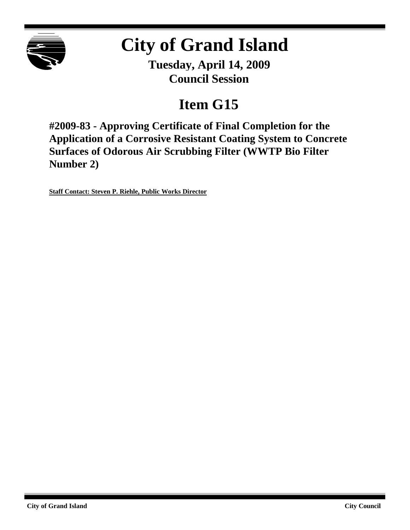

# **City of Grand Island**

**Tuesday, April 14, 2009 Council Session**

## **Item G15**

**#2009-83 - Approving Certificate of Final Completion for the Application of a Corrosive Resistant Coating System to Concrete Surfaces of Odorous Air Scrubbing Filter (WWTP Bio Filter Number 2)**

**Staff Contact: Steven P. Riehle, Public Works Director**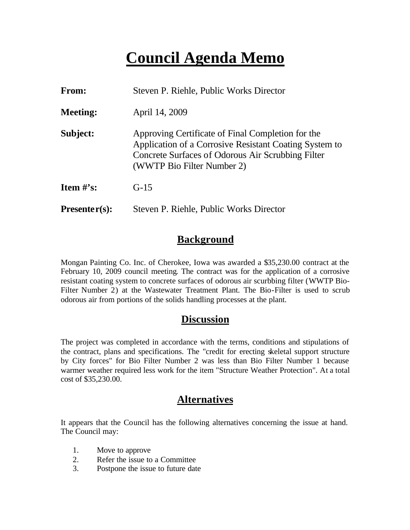## **Council Agenda Memo**

| <b>From:</b>                   | Steven P. Riehle, Public Works Director                                                                                                                                                        |  |  |  |  |
|--------------------------------|------------------------------------------------------------------------------------------------------------------------------------------------------------------------------------------------|--|--|--|--|
| <b>Meeting:</b>                | April 14, 2009                                                                                                                                                                                 |  |  |  |  |
| Subject:                       | Approving Certificate of Final Completion for the<br>Application of a Corrosive Resistant Coating System to<br>Concrete Surfaces of Odorous Air Scrubbing Filter<br>(WWTP Bio Filter Number 2) |  |  |  |  |
| <b>Item <math>\#</math>'s:</b> | $G-15$                                                                                                                                                                                         |  |  |  |  |
| $Presenter(s):$                | Steven P. Riehle, Public Works Director                                                                                                                                                        |  |  |  |  |

## **Background**

Mongan Painting Co. Inc. of Cherokee, Iowa was awarded a \$35,230.00 contract at the February 10, 2009 council meeting. The contract was for the application of a corrosive resistant coating system to concrete surfaces of odorous air scurbbing filter (WWTP Bio-Filter Number 2) at the Wastewater Treatment Plant. The Bio-Filter is used to scrub odorous air from portions of the solids handling processes at the plant.

## **Discussion**

The project was completed in accordance with the terms, conditions and stipulations of the contract, plans and specifications. The "credit for erecting skeletal support structure by City forces" for Bio Filter Number 2 was less than Bio Filter Number 1 because warmer weather required less work for the item "Structure Weather Protection". At a total cost of \$35,230.00.

## **Alternatives**

It appears that the Council has the following alternatives concerning the issue at hand. The Council may:

- 1. Move to approve
- 2. Refer the issue to a Committee
- 3. Postpone the issue to future date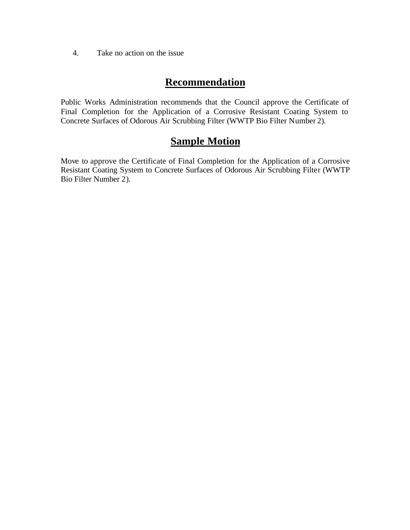4. Take no action on the issue

## **Recommendation**

Public Works Administration recommends that the Council approve the Certificate of Final Completion for the Application of a Corrosive Resistant Coating System to Concrete Surfaces of Odorous Air Scrubbing Filter (WWTP Bio Filter Number 2).

## **Sample Motion**

Move to approve the Certificate of Final Completion for the Application of a Corrosive Resistant Coating System to Concrete Surfaces of Odorous Air Scrubbing Filter (WWTP Bio Filter Number 2).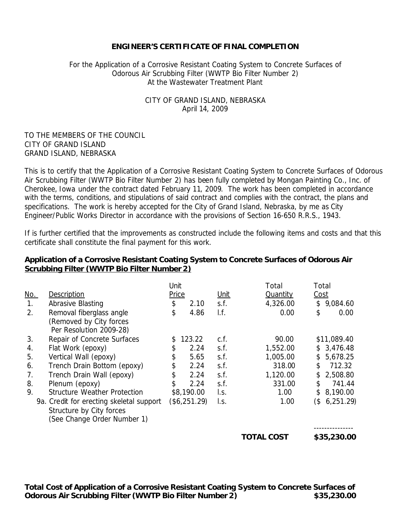#### **ENGINEER'S CERTIFICATE OF FINAL COMPLETION**

#### For the Application of a Corrosive Resistant Coating System to Concrete Surfaces of Odorous Air Scrubbing Filter (WWTP Bio Filter Number 2) At the Wastewater Treatment Plant

#### CITY OF GRAND ISLAND, NEBRASKA April 14, 2009

#### TO THE MEMBERS OF THE COUNCIL CITY OF GRAND ISLAND GRAND ISLAND, NEBRASKA

This is to certify that the Application of a Corrosive Resistant Coating System to Concrete Surfaces of Odorous Air Scrubbing Filter (WWTP Bio Filter Number 2) has been fully completed by Mongan Painting Co., Inc. of Cherokee, Iowa under the contract dated February 11, 2009. The work has been completed in accordance with the terms, conditions, and stipulations of said contract and complies with the contract, the plans and specifications. The work is hereby accepted for the City of Grand Island, Nebraska, by me as City Engineer/Public Works Director in accordance with the provisions of Section 16-650 R.R.S., 1943.

If is further certified that the improvements as constructed include the following items and costs and that this certificate shall constitute the final payment for this work.

#### **Application of a Corrosive Resistant Coating System to Concrete Surfaces of Odorous Air Scrubbing Filter (WWTP Bio Filter Number 2)**

|            |                                          |    | Unit         |      | Total             | Total |             |
|------------|------------------------------------------|----|--------------|------|-------------------|-------|-------------|
| <u>No.</u> | Description                              |    | <b>Price</b> |      | <b>Quantity</b>   | Cost  |             |
| 1.         | Abrasive Blasting                        | \$ | 2.10         | s.f. | 4,326.00          | \$    | 9,084.60    |
| 2.         | Removal fiberglass angle                 | \$ | 4.86         | I.f. | 0.00              | \$    | 0.00        |
|            | (Removed by City forces                  |    |              |      |                   |       |             |
|            | Per Resolution 2009-28)                  |    |              |      |                   |       |             |
| 3.         | Repair of Concrete Surfaces              | \$ | 123.22       | c.f. | 90.00             |       | \$11,089.40 |
| 4.         | Flat Work (epoxy)                        | \$ | 2.24         | s.f. | 1,552.00          |       | \$3,476.48  |
| 5.         | Vertical Wall (epoxy)                    | \$ | 5.65         | s.f. | 1,005.00          | \$    | 5,678.25    |
| 6.         | Trench Drain Bottom (epoxy)              | \$ | 2.24         | s.f. | 318.00            | \$    | 712.32      |
| 7.         | Trench Drain Wall (epoxy)                | \$ | 2.24         | s.f. | 1,120.00          | \$    | 2,508.80    |
| 8.         | Plenum (epoxy)                           | \$ | 2.24         | s.f. | 331.00            | \$    | 741.44      |
| 9.         | <b>Structure Weather Protection</b>      |    | \$8,190.00   | I.s. | 1.00              | \$    | 8,190.00    |
|            | 9a. Credit for erecting skeletal support |    | (\$6,251.29) | l.s. | 1.00              | (\$   | 6,251.29    |
|            | Structure by City forces                 |    |              |      |                   |       |             |
|            | (See Change Order Number 1)              |    |              |      |                   |       |             |
|            |                                          |    |              |      |                   |       |             |
|            |                                          |    |              |      | <b>TOTAL COST</b> |       | \$35,230.00 |

**Total Cost of Application of a Corrosive Resistant Coating System to Concrete Surfaces of Odorous Air Scrubbing Filter (WWTP Bio Filter Number 2) \$35,230.00**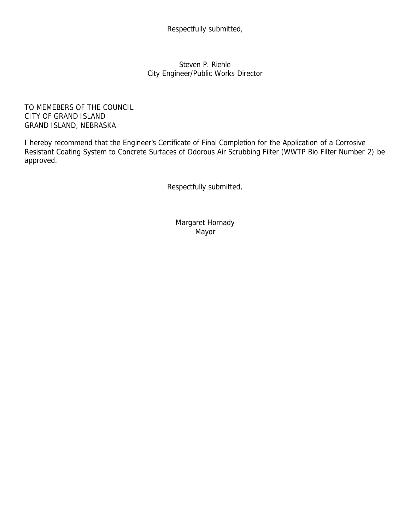Respectfully submitted,

Steven P. Riehle City Engineer/Public Works Director

TO MEMEBERS OF THE COUNCIL CITY OF GRAND ISLAND GRAND ISLAND, NEBRASKA

I hereby recommend that the Engineer's Certificate of Final Completion for the Application of a Corrosive Resistant Coating System to Concrete Surfaces of Odorous Air Scrubbing Filter (WWTP Bio Filter Number 2) be approved.

Respectfully submitted,

Margaret Hornady Mayor